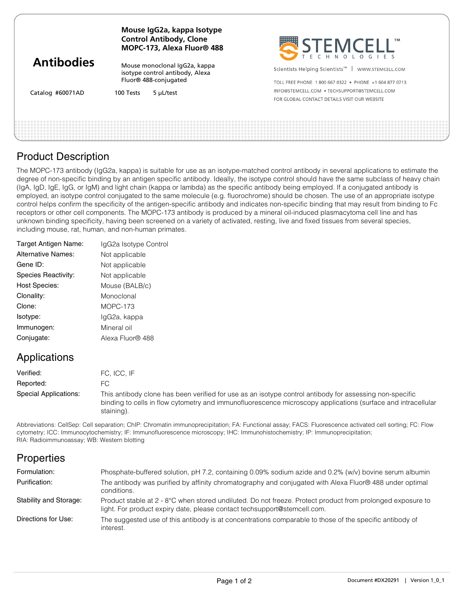| <b>Antibodies</b> | Mouse IgG2a, kappa Isotype<br><b>Control Antibody, Clone</b><br>MOPC-173, Alexa Fluor® 488 |                        | SEEMCELL                                                       |
|-------------------|--------------------------------------------------------------------------------------------|------------------------|----------------------------------------------------------------|
|                   | Mouse monoclonal IgG2a, kappa<br>isotype control antibody, Alexa<br>Fluor® 488-conjugated  |                        | Scientists Helping Scientists <sup>™</sup><br>WWW.STEMCELL.COM |
|                   |                                                                                            |                        | TOLL FREE PHONE 1800 667 0322 • PHONE +1 604 877 0713          |
| Catalog #60071AD  |                                                                                            | 5 µL/test<br>100 Tests | INFO@STEMCELL.COM . TECHSUPPORT@STEMCELL.COM                   |
|                   |                                                                                            |                        | FOR GLOBAL CONTACT DETAILS VISIT OUR WEBSITE                   |
|                   |                                                                                            |                        |                                                                |
|                   |                                                                                            |                        |                                                                |
|                   |                                                                                            |                        |                                                                |

## Product Description

The MOPC-173 antibody (IgG2a, kappa) is suitable for use as an isotype-matched control antibody in several applications to estimate the degree of non-specific binding by an antigen specific antibody. Ideally, the isotype control should have the same subclass of heavy chain (IgA, IgD, IgE, IgG, or IgM) and light chain (kappa or lambda) as the specific antibody being employed. If a conjugated antibody is employed, an isotype control conjugated to the same molecule (e.g. fluorochrome) should be chosen. The use of an appropriate isotype control helps confirm the specificity of the antigen-specific antibody and indicates non-specific binding that may result from binding to Fc receptors or other cell components. The MOPC-173 antibody is produced by a mineral oil-induced plasmacytoma cell line and has unknown binding specificity, having been screened on a variety of activated, resting, live and fixed tissues from several species, including mouse, rat, human, and non-human primates.

| Target Antigen Name: | IgG2a Isotype Control |
|----------------------|-----------------------|
| Alternative Names:   | Not applicable        |
| Gene ID:             | Not applicable        |
| Species Reactivity:  | Not applicable        |
| <b>Host Species:</b> | Mouse (BALB/c)        |
| Clonality:           | Monoclonal            |
| Clone:               | $MOPC-173$            |
| Isotype:             | lgG2a, kappa          |
| Immunogen:           | Mineral oil           |
| Conjugate:           | Alexa Fluor® 488      |

## Applications

| Verified:             | FC. ICC. IF                                                                                                                                                                                                                           |
|-----------------------|---------------------------------------------------------------------------------------------------------------------------------------------------------------------------------------------------------------------------------------|
| Reported:             |                                                                                                                                                                                                                                       |
| Special Applications: | This antibody clone has been verified for use as an isotype control antibody for assessing non-specific<br>binding to cells in flow cytometry and immunofluorescence microscopy applications (surface and intracellular<br>staining). |

Abbreviations: CellSep: Cell separation; ChIP: Chromatin immunoprecipitation; FA: Functional assay; FACS: Fluorescence activated cell sorting; FC: Flow cytometry; ICC: Immunocytochemistry; IF: Immunofluorescence microscopy; IHC: Immunohistochemistry; IP: Immunoprecipitation; RIA: Radioimmunoassay; WB: Western blotting

# **Properties**

| Formulation:           | Phosphate-buffered solution, pH 7.2, containing 0.09% sodium azide and 0.2% (w/v) bovine serum albumin                                                                                 |
|------------------------|----------------------------------------------------------------------------------------------------------------------------------------------------------------------------------------|
| Purification:          | The antibody was purified by affinity chromatography and conjugated with Alexa Fluor® 488 under optimal<br>conditions.                                                                 |
| Stability and Storage: | Product stable at 2 - 8°C when stored undiluted. Do not freeze. Protect product from prolonged exposure to<br>light. For product expiry date, please contact techsupport@stemcell.com. |
| Directions for Use:    | The suggested use of this antibody is at concentrations comparable to those of the specific antibody of<br>interest.                                                                   |